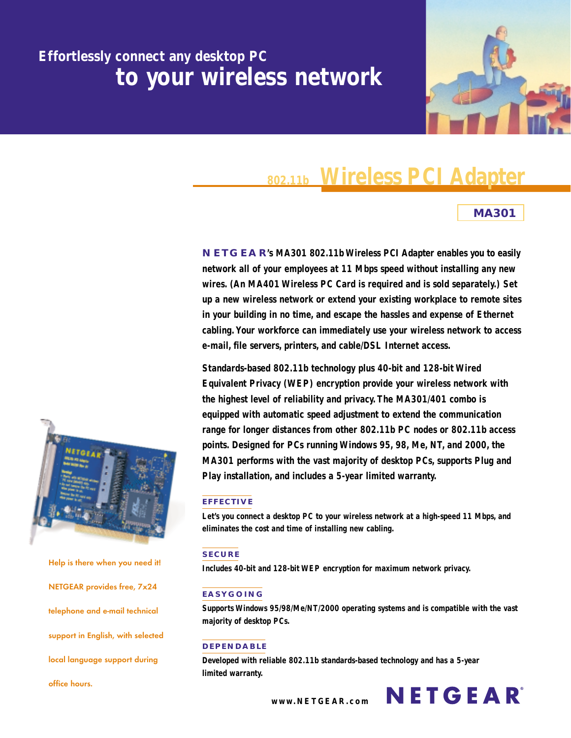## **Effortlessly connect any desktop PC to your wireless network**



# **Wireless PCI Adapter 802.11b**

## **MA301**

**NETGEAR's MA301 802.11b Wireless PCI Adapter enables you to easily network all of your employees at 11 Mbps speed without installing any new wires. (An MA401 Wireless PC Card is required and is sold separately.) Set up a new wireless network or extend your existing workplace to remote sites in your building in no time, and escape the hassles and expense of Ethernet cabling. Your workforce can immediately use your wireless network to access e-mail, file servers, printers, and cable/DSL Internet access.**

**Standards-based 802.11b technology plus 40-bit and 128-bit Wired Equivalent Privacy (WEP) encryption provide your wireless network with the highest level of reliability and privacy. The MA301/401 combo is equipped with automatic speed adjustment to extend the communication range for longer distances from other 802.11b PC nodes or 802.11b access points. Designed for PCs running Windows 95, 98, Me, NT, and 2000, the MA301 performs with the vast majority of desktop PCs, supports Plug and Play installation, and includes a 5-year limited warranty.**

### **EFFECTIVE**

**Let's you connect a desktop PC to your wireless network at a high-speed 11 Mbps, and eliminates the cost and time of installing new cabling.**

### **SECURE**

**Includes 40-bit and 128-bit WEP encryption for maximum network privacy.**

### **EASYGOING**

**Supports Windows 95/98/Me/NT/2000 operating systems and is compatible with the vast majority of desktop PCs.**

### **DEPENDABLE**

**Developed with reliable 802.11b standards-based technology and has a 5-year limited warranty.**



**Help is there when you need it! NETGEAR provides free, 7x24 telephone and e-mail technical support in English, with selected local language support during office hours.**